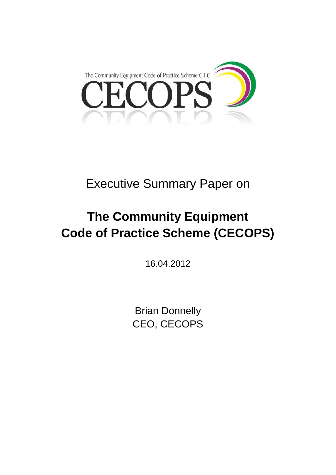

## Executive Summary Paper on

# **The Community Equipment Code of Practice Scheme (CECOPS)**

16.04.2012

Brian Donnelly CEO, CECOPS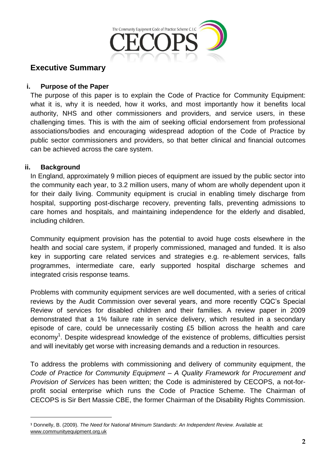

## **Executive Summary**

#### **i. Purpose of the Paper**

The purpose of this paper is to explain the Code of Practice for Community Equipment: what it is, why it is needed, how it works, and most importantly how it benefits local authority, NHS and other commissioners and providers, and service users, in these challenging times. This is with the aim of seeking official endorsement from professional associations/bodies and encouraging widespread adoption of the Code of Practice by public sector commissioners and providers, so that better clinical and financial outcomes can be achieved across the care system.

#### **ii. Background**

In England, approximately 9 million pieces of equipment are issued by the public sector into the community each year, to 3.2 million users, many of whom are wholly dependent upon it for their daily living. Community equipment is crucial in enabling timely discharge from hospital, supporting post-discharge recovery, preventing falls, preventing admissions to care homes and hospitals, and maintaining independence for the elderly and disabled, including children.

Community equipment provision has the potential to avoid huge costs elsewhere in the health and social care system, if properly commissioned, managed and funded. It is also key in supporting care related services and strategies e.g. re-ablement services, falls programmes, intermediate care, early supported hospital discharge schemes and integrated crisis response teams.

Problems with community equipment services are well documented, with a series of critical reviews by the Audit Commission over several years, and more recently CQC's Special Review of services for disabled children and their families. A review paper in 2009 demonstrated that a 1% failure rate in service delivery, which resulted in a secondary episode of care, could be unnecessarily costing £5 billion across the health and care economy<sup>1</sup>. Despite widespread knowledge of the existence of problems, difficulties persist and will inevitably get worse with increasing demands and a reduction in resources.

To address the problems with commissioning and delivery of community equipment, the *Code of Practice for Community Equipment – A Quality Framework for Procurement and Provision of Services* has been written; the Code is administered by CECOPS, a not-forprofit social enterprise which runs the Code of Practice Scheme. The Chairman of CECOPS is Sir Bert Massie CBE, the former Chairman of the Disability Rights Commission.

**<sup>1</sup>** Donnelly, B. (2009). *The Need for National Minimum Standards*: *An Independent Review*. Available at: [www.communityequipment.org.uk](http://www.communityequipment.org.uk/)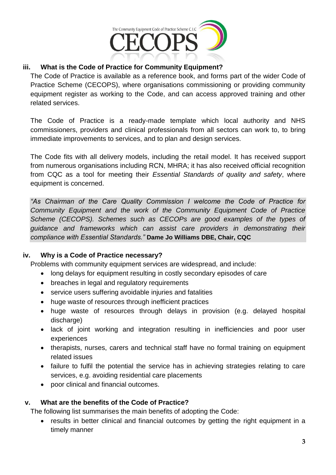

## **iii. What is the Code of Practice for Community Equipment?**

The Code of Practice is available as a reference book, and forms part of the wider Code of Practice Scheme (CECOPS), where organisations commissioning or providing community equipment register as working to the Code, and can access approved training and other related services.

The Code of Practice is a ready-made template which local authority and NHS commissioners, providers and clinical professionals from all sectors can work to, to bring immediate improvements to services, and to plan and design services.

The Code fits with all delivery models, including the retail model. It has received support from numerous organisations including RCN, MHRA; it has also received official recognition from CQC as a tool for meeting their *Essential Standards of quality and safety*, where equipment is concerned.

*"As Chairman of the Care Quality Commission I welcome the Code of Practice for Community Equipment and the work of the Community Equipment Code of Practice Scheme (CECOPS). Schemes such as CECOPs are good examples of the types of guidance and frameworks which can assist care providers in demonstrating their compliance with Essential Standards."* **Dame Jo Williams DBE, Chair, CQC**

#### **iv. Why is a Code of Practice necessary?**

Problems with community equipment services are widespread, and include:

- long delays for equipment resulting in costly secondary episodes of care
- breaches in legal and regulatory requirements
- service users suffering avoidable injuries and fatalities
- huge waste of resources through inefficient practices
- huge waste of resources through delays in provision (e.g. delayed hospital discharge)
- lack of joint working and integration resulting in inefficiencies and poor user experiences
- therapists, nurses, carers and technical staff have no formal training on equipment related issues
- failure to fulfil the potential the service has in achieving strategies relating to care services, e.g. avoiding residential care placements
- poor clinical and financial outcomes.

#### **v. What are the benefits of the Code of Practice?**

The following list summarises the main benefits of adopting the Code:

• results in better clinical and financial outcomes by getting the right equipment in a timely manner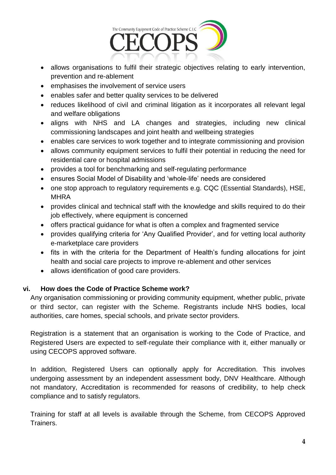

- allows organisations to fulfil their strategic objectives relating to early intervention, prevention and re-ablement
- emphasises the involvement of service users
- enables safer and better quality services to be delivered
- reduces likelihood of civil and criminal litigation as it incorporates all relevant legal and welfare obligations
- aligns with NHS and LA changes and strategies, including new clinical commissioning landscapes and joint health and wellbeing strategies
- enables care services to work together and to integrate commissioning and provision
- allows community equipment services to fulfil their potential in reducing the need for residential care or hospital admissions
- provides a tool for benchmarking and self-regulating performance
- ensures Social Model of Disability and 'whole-life' needs are considered
- one stop approach to regulatory requirements e.g. CQC (Essential Standards), HSE, **MHRA**
- provides clinical and technical staff with the knowledge and skills required to do their job effectively, where equipment is concerned
- offers practical guidance for what is often a complex and fragmented service
- provides qualifying criteria for 'Any Qualified Provider', and for vetting local authority e-marketplace care providers
- fits in with the criteria for the Department of Health's funding allocations for joint health and social care projects to improve re-ablement and other services
- allows identification of good care providers.

#### **vi. How does the Code of Practice Scheme work?**

Any organisation commissioning or providing community equipment, whether public, private or third sector, can register with the Scheme. Registrants include NHS bodies, local authorities, care homes, special schools, and private sector providers.

Registration is a statement that an organisation is working to the Code of Practice, and Registered Users are expected to self-regulate their compliance with it, either manually or using CECOPS approved software.

In addition, Registered Users can optionally apply for Accreditation. This involves undergoing assessment by an independent assessment body, DNV Healthcare. Although not mandatory, Accreditation is recommended for reasons of credibility, to help check compliance and to satisfy regulators.

Training for staff at all levels is available through the Scheme, from CECOPS Approved Trainers.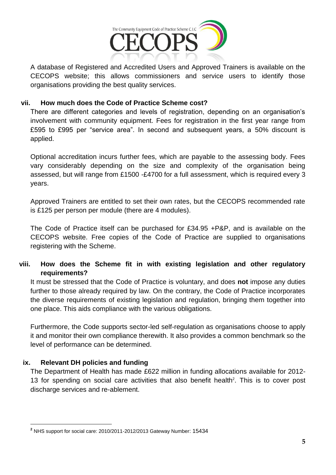

A database of Registered and Accredited Users and Approved Trainers is available on the CECOPS website; this allows commissioners and service users to identify those organisations providing the best quality services.

#### **vii. How much does the Code of Practice Scheme cost?**

There are different categories and levels of registration, depending on an organisation's involvement with community equipment. Fees for registration in the first year range from £595 to £995 per "service area". In second and subsequent years, a 50% discount is applied.

Optional accreditation incurs further fees, which are payable to the assessing body. Fees vary considerably depending on the size and complexity of the organisation being assessed, but will range from £1500 -£4700 for a full assessment, which is required every 3 years.

Approved Trainers are entitled to set their own rates, but the CECOPS recommended rate is £125 per person per module (there are 4 modules).

The Code of Practice itself can be purchased for £34.95 +P&P, and is available on the CECOPS website. Free copies of the Code of Practice are supplied to organisations registering with the Scheme.

## **viii. How does the Scheme fit in with existing legislation and other regulatory requirements?**

It must be stressed that the Code of Practice is voluntary, and does **not** impose any duties further to those already required by law. On the contrary, the Code of Practice incorporates the diverse requirements of existing legislation and regulation, bringing them together into one place. This aids compliance with the various obligations.

Furthermore, the Code supports sector-led self-regulation as organisations choose to apply it and monitor their own compliance therewith. It also provides a common benchmark so the level of performance can be determined.

#### **ix. Relevant DH policies and funding**

The Department of Health has made £622 million in funding allocations available for 2012- 13 for spending on social care activities that also benefit health<sup>2</sup>. This is to cover post discharge services and re-ablement.

 **<sup>2</sup>** NHS support for social care: 2010/2011-2012/2013 Gateway Number: 15434